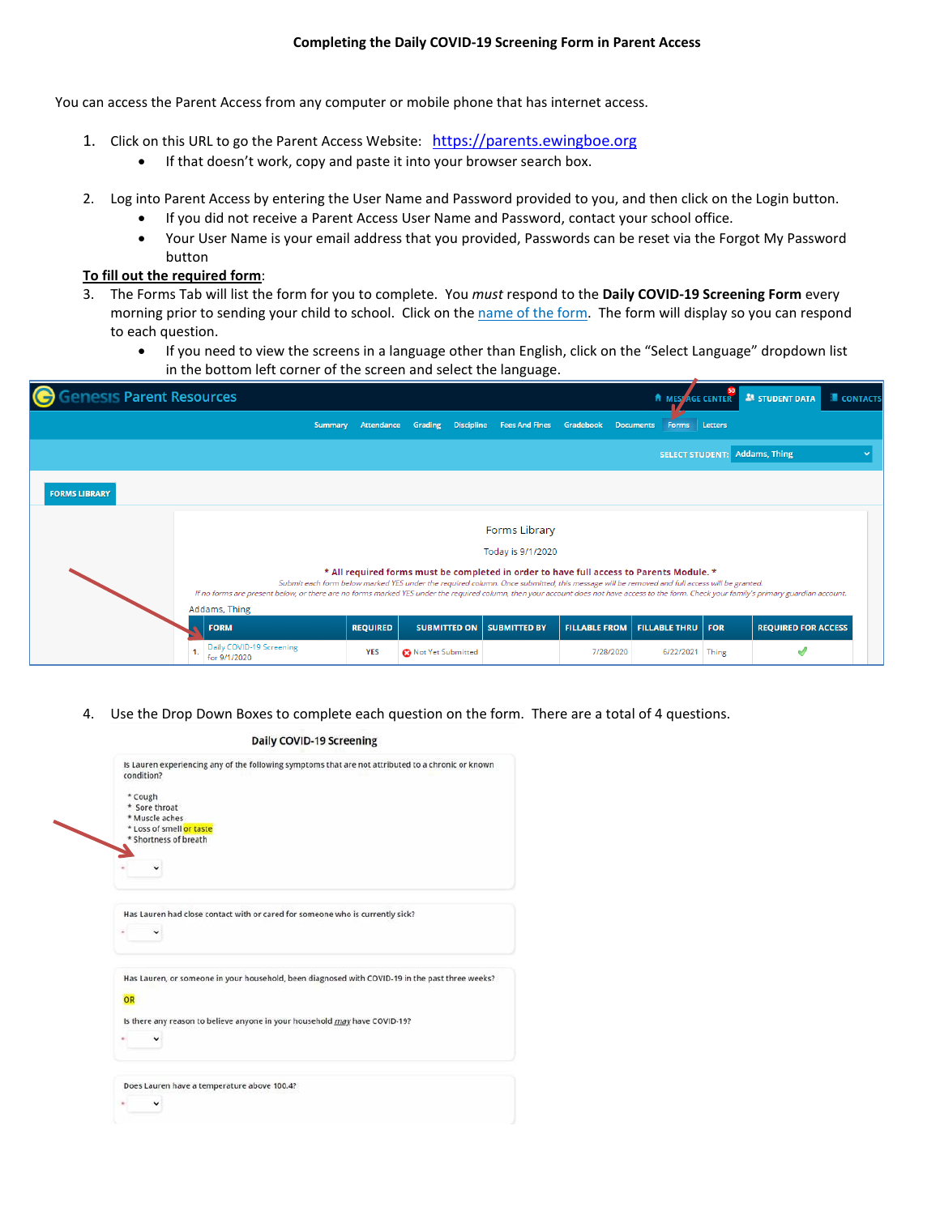## **Completing the Daily COVID-19 Screening Form in Parent Access**

You can access the Parent Access from any computer or mobile phone that has internet access.

- 1. Click on this URL to go the Parent Access Website: [https://parents.ewingboe.org](https://parents.ewingboe.org/)
	- If that doesn't work, copy and paste it into your browser search box.
- 2. Log into Parent Access by entering the User Name and Password provided to you, and then click on the Login button.
	- If you did not receive a Parent Access User Name and Password, contact your school office.
	- Your User Name is your email address that you provided, Passwords can be reset via the Forgot My Password button

## **To fill out the required form**:

- 3. The Forms Tab will list the form for you to complete. You *must* respond to the **Daily COVID-19 Screening Form** every morning prior to sending your child to school. Click on the name of the form. The form will display so you can respond to each question.
	- If you need to view the screens in a language other than English, click on the "Select Language" dropdown list in the bottom left corner of the screen and select the language.

| <b>enesis Parent Resources</b> |                                                                                                                                                                                                                                                                                                                                                                                                                                        |                 |                     |                                     |                      |                           |            | <b>A MESS AGE CENTER A STUDENT DATA</b> | <b>CONTACTS</b> |
|--------------------------------|----------------------------------------------------------------------------------------------------------------------------------------------------------------------------------------------------------------------------------------------------------------------------------------------------------------------------------------------------------------------------------------------------------------------------------------|-----------------|---------------------|-------------------------------------|----------------------|---------------------------|------------|-----------------------------------------|-----------------|
|                                | Summary                                                                                                                                                                                                                                                                                                                                                                                                                                | Attendance      | Grading             | Discipline Fees And Fines Gradebook |                      | <b>Documents</b><br>Forms | Letters    |                                         |                 |
|                                |                                                                                                                                                                                                                                                                                                                                                                                                                                        |                 |                     |                                     |                      | <b>SELECT STUDENT:</b>    |            | Addams, Thing                           |                 |
| <b>FORMS LIBRARY</b>           |                                                                                                                                                                                                                                                                                                                                                                                                                                        |                 |                     |                                     |                      |                           |            |                                         |                 |
|                                |                                                                                                                                                                                                                                                                                                                                                                                                                                        |                 |                     | <b>Forms Library</b>                |                      |                           |            |                                         |                 |
|                                |                                                                                                                                                                                                                                                                                                                                                                                                                                        |                 |                     | Today is 9/1/2020                   |                      |                           |            |                                         |                 |
|                                | * All required forms must be completed in order to have full access to Parents Module. *<br>Submit each form below marked YES under the required column. Once submitted, this message will be removed and full access will be granted.<br>If no forms are present below, or there are no forms marked YES under the required column, then your account does not have access to the form. Check your family's primary guardian account. |                 |                     |                                     |                      |                           |            |                                         |                 |
|                                | Addams, Thing                                                                                                                                                                                                                                                                                                                                                                                                                          |                 |                     |                                     |                      |                           |            |                                         |                 |
|                                | <b>FORM</b>                                                                                                                                                                                                                                                                                                                                                                                                                            | <b>REQUIRED</b> | <b>SUBMITTED ON</b> | <b>SUBMITTED BY</b>                 | <b>FILLABLE FROM</b> | <b>FILLABLE THRU</b>      | <b>FOR</b> | <b>REQUIRED FOR ACCESS</b>              |                 |
|                                | Daily COVID-19 Screening<br>for 9/1/2020                                                                                                                                                                                                                                                                                                                                                                                               | <b>YES</b>      | Not Yet Submitted   |                                     | 7/28/2020            | 6/22/2021                 | Thing      |                                         |                 |

4. Use the Drop Down Boxes to complete each question on the form. There are a total of 4 questions.

|    | Daily COVID-19 Screening                                                                                         |
|----|------------------------------------------------------------------------------------------------------------------|
|    | Is Lauren experiencing any of the following symptoms that are not attributed to a chronic or known<br>condition? |
|    | * Cough                                                                                                          |
|    | * Sore throat                                                                                                    |
|    | * Muscle aches                                                                                                   |
|    | * Loss of smell or taste                                                                                         |
|    | * Shortness of breath                                                                                            |
|    |                                                                                                                  |
|    |                                                                                                                  |
|    | Has Lauren had close contact with or cared for someone who is currently sick?                                    |
|    | Has Lauren, or someone in your household, been diagnosed with COVID-19 in the past three weeks?                  |
| OR |                                                                                                                  |
|    |                                                                                                                  |
|    | Is there any reason to believe anyone in your household may have COVID-19?                                       |
|    |                                                                                                                  |
|    |                                                                                                                  |
|    | Does Lauren have a temperature above 100.4?                                                                      |
|    |                                                                                                                  |
|    |                                                                                                                  |